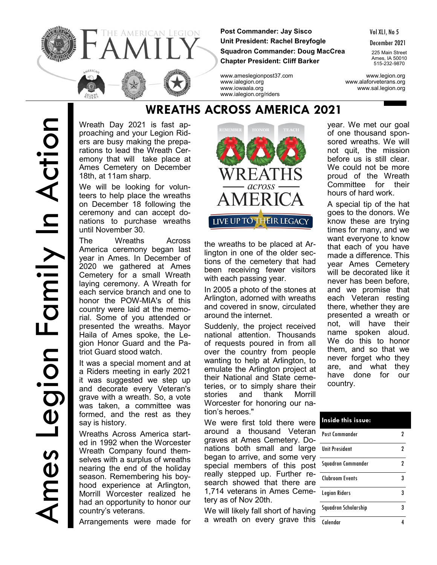

**Post Commander: Jay Sisco Unit President: Rachel Breyfogle Squadron Commander: Doug MacCrea Chapter President: Cliff Barker**

Vol XLI, No 5

December 2021

225 Main Street Ames, IA 50010 515-232-9870

www.ameslegionpost37.com www.legion.org www.ialegion.org www.alaforveterans.org www.iowaala.org www.sal.legion.org

Wreath Day 2021 is fast approaching and your Legion Riders are busy making the preparations to lead the Wreath Ceremony that will take place at Ames Cemetery on December 18th, at 11am sharp.

We will be looking for volunteers to help place the wreaths on December 18 following the ceremony and can accept donations to purchase wreaths until November 30.

The Wreaths Across America ceremony began last year in Ames. In December of 2020 we gathered at Ames Cemetery for a small Wreath laying ceremony. A Wreath for each service branch and one to honor the POW-MIA's of this country were laid at the memorial. Some of you attended or presented the wreaths. Mayor Haila of Ames spoke, the Legion Honor Guard and the Patriot Guard stood watch.

It was a special moment and at a Riders meeting in early 2021 it was suggested we step up and decorate every Veteran's grave with a wreath. So, a vote was taken, a committee was formed, and the rest as they say is history.

Wreaths Across America started in 1992 when the Worcester Wreath Company found themselves with a surplus of wreaths nearing the end of the holiday season. Remembering his boyhood experience at Arlington, Morrill Worcester realized he had an opportunity to honor our country's veterans.

Arrangements were made for



the wreaths to be placed at Arlington in one of the older sections of the cemetery that had been receiving fewer visitors with each passing year.

In 2005 a photo of the stones at Arlington, adorned with wreaths and covered in snow, circulated around the internet.

Suddenly, the project received national attention. Thousands of requests poured in from all over the country from people wanting to help at Arlington, to emulate the Arlington project at their National and State cemeteries, or to simply share their stories and thank Morrill Worcester for honoring our nation's heroes."

We were first told there were around a thousand Veteran graves at Ames Cemetery. Donations both small and large began to arrive, and some very special members of this post really stepped up. Further research showed that there are 1,714 veterans in Ames Cemetery as of Nov 20th.

We will likely fall short of having a wreath on every grave this year. We met our goal of one thousand sponsored wreaths. We will not quit, the mission before us is still clear. We could not be more proud of the Wreath Committee for their hours of hard work.

A special tip of the hat goes to the donors. We know these are trying times for many, and we want everyone to know that each of you have made a difference. This year Ames Cemetery will be decorated like it never has been before, and we promise that each Veteran resting there, whether they are presented a wreath or not, will have their name spoken aloud. We do this to honor them, and so that we never forget who they are, and what they have done for our country.

| Inside this issue:     |   |
|------------------------|---|
| Post Commander         | 7 |
| <b>Unit President</b>  | 2 |
| Squadron Commander     | 2 |
| <b>Clubroom Events</b> | 3 |
| <b>Legion Riders</b>   | 3 |
| Squadron Scholarship   | 3 |
| Calendar               |   |

# **WREATHS ACROSS AMERICA 2021**

www.ialegion.org/riders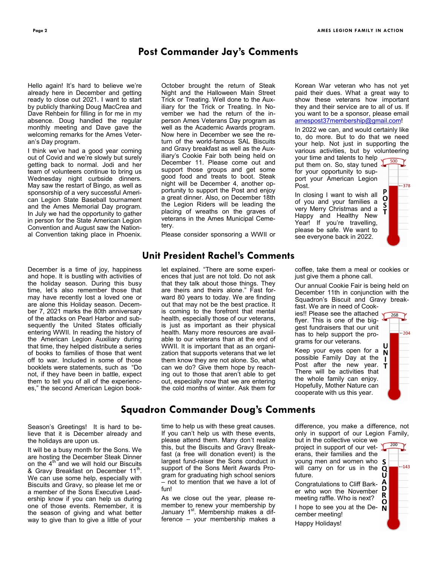## **Post Commander Jay's Comments**

Hello again! It's hard to believe we're already here in December and getting ready to close out 2021. I want to start by publicly thanking Doug MacCrea and Dave Rehbein for filling in for me in my absence. Doug handled the regular monthly meeting and Dave gave the welcoming remarks for the Ames Veteran's Day program.

I think we've had a good year coming out of Covid and we're slowly but surely getting back to normal. Jodi and her team of volunteers continue to bring us Wednesday night curbside dinners. May saw the restart of Bingo, as well as sponsorship of a very successful American Legion State Baseball tournament and the Ames Memorial Day program. In July we had the opportunity to gather in person for the State American Legion Convention and August saw the National Convention taking place in Phoenix.

December is a time of joy, happiness and hope. It is bustling with activities of the holiday season. During this busy time, let's also remember those that may have recently lost a loved one or are alone this Holiday season. December 7, 2021 marks the 80th anniversary of the attacks on Pearl Harbor and subsequently the United States officially entering WWII. In reading the history of the American Legion Auxiliary during that time, they helped distribute a series of books to families of those that went off to war. Included in some of those booklets were statements, such as "Do not, if they have been in battle, expect them to tell you of all of the experiences," the second American Legion book-

October brought the return of Steak Night and the Halloween Main Street Trick or Treating. Well done to the Auxiliary for the Trick or Treating. In November we had the return of the inperson Ames Veterans Day program as well as the Academic Awards program. Now here in December we see the return of the world-famous SAL Biscuits and Gravy breakfast as well as the Auxiliary's Cookie Fair both being held on December 11. Please come out and support those groups and get some good food and treats to boot. Steak night will be December 4, another opportunity to support the Post and enjoy a great dinner. Also, on December 18th the Legion Riders will be leading the placing of wreaths on the graves of veterans in the Ames Municipal Cemetery.

Please consider sponsoring a WWII or

### **Unit President Rachel's Comments**

let explained. "There are some experiences that just are not told. Do not ask that they talk about those things. They are theirs and theirs alone." Fast forward 80 years to today. We are finding out that may not be the best practice. It is coming to the forefront that mental health, especially those of our veterans, is just as important as their physical health. Many more resources are available to our veterans than at the end of WWII. It is important that as an organization that supports veterans that we let them know they are not alone. So, what can we do? Give them hope by reaching out to those that aren't able to get out, especially now that we are entering the cold months of winter. Ask them for

Korean War veteran who has not yet paid their dues. What a great way to show these veterans how important they and their service are to all of us. If you want to be a sponsor, please email [amespost37membership@gmail.com!](mailto:amespost37membership@gmail.com)

In 2022 we can, and would certainly like to, do more. But to do that we need your help. Not just in supporting the various activities, but by volunteering

your time and talents to help put them on. So, stay tuned  $\frac{1}{2}$ for your opportunity to support your American Legion Post.

In closing I want to wish all of you and your families a very Merry Christmas and a Happy and Healthy New Year! If you're travelling, please be safe. We want to see everyone back in 2022.

 $-378$ O S Ť

coffee, take them a meal or cookies or just give them a phone call.

Our annual Cookie Fair is being held on December 11th in conjunction with the Squadron's Biscuit and Gravy breakfast. We are in need of Cook-

ies!! Please see the attached flyer. This is one of the biggest fundraisers that our unit has to help support the programs for our veterans.

Keep your eyes open for a  $\tilde{N}$ possible Family Day at the Post after the new year.  $$ There will be activities that the whole family can enjoy. Hopefully, Mother Nature can cooperate with us this year.

268 204

## **Squadron Commander Doug's Comments**

Season's Greetings! It is hard to believe that it is December already and the holidays are upon us.

It will be a busy month for the Sons. We are hosting the December Steak Dinner on the  $4<sup>th</sup>$  and we will hold our Biscuits & Gravy Breakfast on December 11<sup>th</sup>. We can use some help, especially with Biscuits and Gravy, so please let me or a member of the Sons Executive Leadership know if you can help us during one of those events. Remember, it is the season of giving and what better way to give than to give a little of your

time to help us with these great causes. If you can't help us with these events, please attend them. Many don't realize this, but the Biscuits and Gravy Breakfast (a free will donation event) is the largest fund-raiser the Sons conduct in support of the Sons Merit Awards Program for graduating high school seniors – not to mention that we have a lot of fun!

As we close out the year, please remember to renew your membership by January 1<sup>st</sup>. Membership makes a difference – your membership makes a difference, you make a difference, not only in support of our Legion Family,

but in the collective voice we project in support of our veterans, their families and the young men and women who S will carry on for us in the  $Q$ future.

Congratulations to Cliff Barker who won the November meeting raffle. Who is next? I hope to see you at the De-  $\overline{N}$ cember meeting!

Happy Holidays!

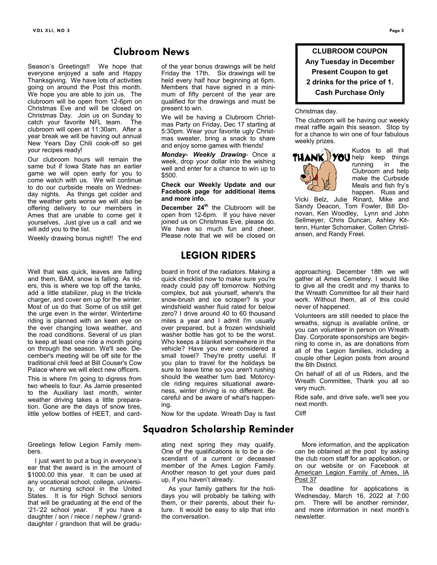### **Clubroom News**

Season's Greetings!! We hope that everyone enjoyed a safe and Happy Thanksgiving. We have lots of activities going on around the Post this month. We hope you are able to join us. The clubroom will be open from 12-6pm on Christmas Eve and will be closed on Christmas Day. Join us on Sunday to catch your favorite NFL team. The clubroom will open at 11:30am. After a year break we will be having out annual New Years Day Chili cook-off so get your recipes ready!

Our clubroom hours will remain the same but if Iowa State has an earlier game we will open early for you to come watch with us. We will continue to do our curbside meals on Wednesday nights. As things get colder and the weather gets worse we will also be offering delivery to our members in Ames that are unable to come get it yourselves. Just give us a call and we will add you to the list.

Weekly drawing bonus night!! The end

Well that was quick, leaves are falling and them, BAM, snow is falling. As riders, this is where we top off the tanks, add a little stabilizer, plug in the trickle charger, and cover em up for the winter. Most of us do that. Some of us still get the urge even in the winter. Wintertime riding is planned with an keen eye on the ever changing Iowa weather, and the road conditions. Several of us plan to keep at least one ride a month going on through the season. We'll see. December's meeting will be off site for the traditional chili feed at Bill Couser's Cow Palace where we will elect new officers.

This is where I'm going to digress from two wheels to four. As Jamie presented to the Auxiliary last month, winter weather driving takes a little preparation. Gone are the days of snow tires, little yellow bottles of HEET, and card-

Greetings fellow Legion Family members.

 I just want to put a bug in everyone's ear that the award is in the amount of \$1000.00 this year. It can be used at any vocational school, college, university, or nursing school in the United States. It is for High School seniors that will be graduating at the end of the '21-'22 school year. If you have a daughter / son / niece / nephew / granddaughter / grandson that will be graduof the year bonus drawings will be held Friday the 17th. Six drawings will be held every half hour beginning at 6pm. Members that have signed in a minimum of fifty percent of the year are qualified for the drawings and must be present to win.

We will be having a Clubroom Christmas Party on Friday, Dec 17 starting at 5:30pm. Wear your favorite ugly Christmas sweater, bring a snack to share and enjoy some games with friends!

*Monday- Weekly Drawing*- Once a week, drop your dollar into the wishing well and enter for a chance to win up to \$500.

#### **Check our Weekly Update and our Facebook page for additional items and more info.**

**December 24th** the Clubroom will be open from 12-6pm. If you have never joined us on Christmas Eve, please do. We have so much fun and cheer. Please note that we will be closed on

## **LEGION RIDERS**

board in front of the radiators. Making a quick checklist now to make sure you're ready could pay off tomorrow. Nothing complex, but ask yourself, where's the snow-brush and ice scraper? Is your windshield washer fluid rated for below zero? I drive around 40 to 60 thousand miles a year and I admit I'm usually over prepared, but a frozen windshield washer bottle has got to be the worst. Who keeps a blanket somewhere in the vehicle? Have you ever considered a small towel? They're pretty useful. If you plan to travel for the holidays be sure to leave time so you aren't rushing should the weather turn bad. Motorcycle riding requires situational awareness, winter driving is no different. Be careful and be aware of what's happening.

Now for the update. Wreath Day is fast

## **Squadron Scholarship Reminder**

ating next spring they may qualify. One of the qualifications is to be a descendant of a current or deceased member of the Ames Legion Family. Another reason to get your dues paid up, if you haven't already.

 As your family gathers for the holidays you will probably be talking with them, or their parents, about their future. It would be easy to slip that into the conversation.

**CLUBROOM COUPON Any Tuesday in December Present Coupon to get 2 drinks for the price of 1. Cash Purchase Only**

#### Christmas day.

The clubroom will be having our weekly meat raffle again this season. Stop by for a chance to win one of four fabulous weekly prizes.



Kudos to all that **THANK YOU** help keep things running Clubroom and help make the Curbside Meals and fish fry's happen. Russ and

Vicki Belz, Julie Rinard, Mike and Sandy Deacon, Tom Fowler, Bill Donovan, Ken Woodley, Lynn and John Sellmeyer, Chris Duncan, Ashley Kittenn, Hunter Schomaker, Colten Christiansen, and Randy Freel.

approaching. December 18th we will gather at Ames Cemetery. I would like to give all the credit and my thanks to the Wreath Committee for all their hard work. Without them, all of this could never of happened.

Volunteers are still needed to place the wreaths, signup is available online, or you can volunteer in person on Wreath Day. Corporate sponsorships are beginning to come in, as are donations from all of the Legion families, including a couple other Legion posts from around the 6th District.

On behalf of all of us Riders, and the Wreath Committee, Thank you all so very much.

Ride safe, and drive safe, we'll see you next month.

Cliff

 More information, and the application can be obtained at the post by asking the club room staff for an application, or on our website or on Facebook at American Legion Family of Ames, IA Post 37

 The deadline for applications is Wednesday, March 16, 2022 at 7:00 pm. There will be another reminder, and more information in next month's newsletter.